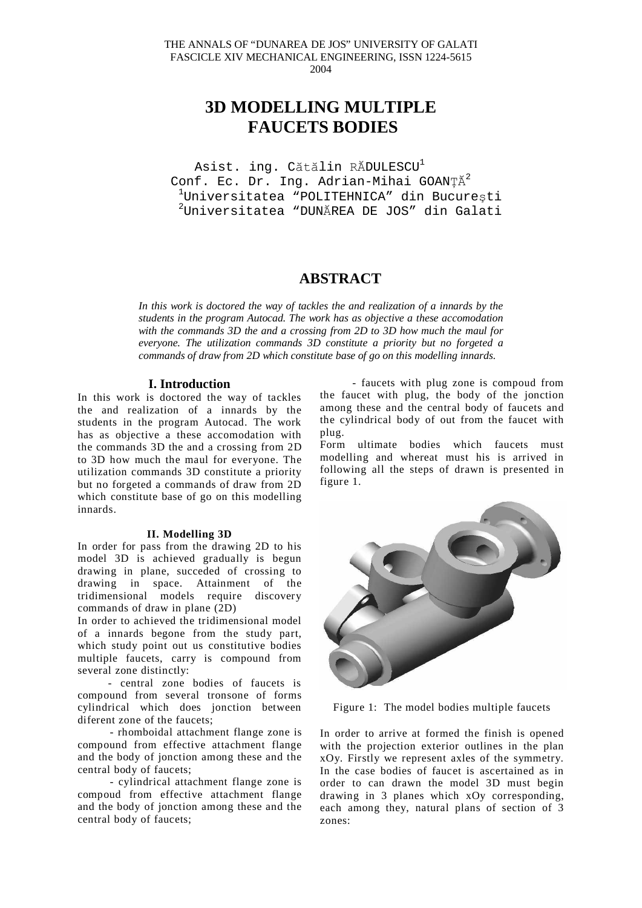# **3D MODELLING MULTIPLE FAUCETS BODIES**

Asist. ing. Cătălin RĂDULESCU<sup>1</sup> Conf. Ec. Dr. Ing. Adrian-Mihai GOANȚĂ<sup>2</sup>  $^{1}$ Universitatea "POLITEHNICA" din București  $^{2}$ Universitatea "DUNĂREA DE JOS" din Galati

# **ABSTRACT**

*In this work is doctored the way of tackles the and realization of a innards by the students in the program Autocad. The work has as objective a these accomodation with the commands 3D the and a crossing from 2D to 3D how much the maul for everyone. The utilization commands 3D constitute a priority but no forgeted a commands of draw from 2D which constitute base of go on this modelling innards.*

## **I. Introduction**

In this work is doctored the way of tackles the and realization of a innards by the students in the program Autocad. The work has as objective a these accomodation with the commands 3D the and a crossing from 2D to 3D how much the maul for everyone. The utilization commands 3D constitute a priority but no forgeted a commands of draw from 2D which constitute base of go on this modelling innards.

#### **II. Modelling 3D**

In order for pass from the drawing 2D to his model 3D is achieved gradually is begun drawing in plane, succeded of crossing to drawing in space. Attainment of the tridimensional models require discovery commands of draw in plane (2D)

In order to achieved the tridimensional model of a innards begone from the study part, which study point out us constitutive bodies multiple faucets, carry is compound from several zone distinctly:

- central zone bodies of faucets is compound from several tronsone of forms cylindrical which does jonction between diferent zone of the faucets;

- rhomboidal attachment flange zone is compound from effective attachment flange and the body of jonction among these and the central body of faucets;

- cylindrical attachment flange zone is compoud from effective attachment flange and the body of jonction among these and the central body of faucets;

- faucets with plug zone is compoud from the faucet with plug, the body of the jonction among these and the central body of faucets and the cylindrical body of out from the faucet with plug.

Form ultimate bodies which faucets must modelling and whereat must his is arrived in following all the steps of drawn is presented in figure 1.



Figure 1: The model bodies multiple faucets

In order to arrive at formed the finish is opened with the projection exterior outlines in the plan xOy. Firstly we represent axles of the symmetry. In the case bodies of faucet is ascertained as in order to can drawn the model 3D must begin drawing in 3 planes which xOy corresponding, each among they, natural plans of section of 3 zones: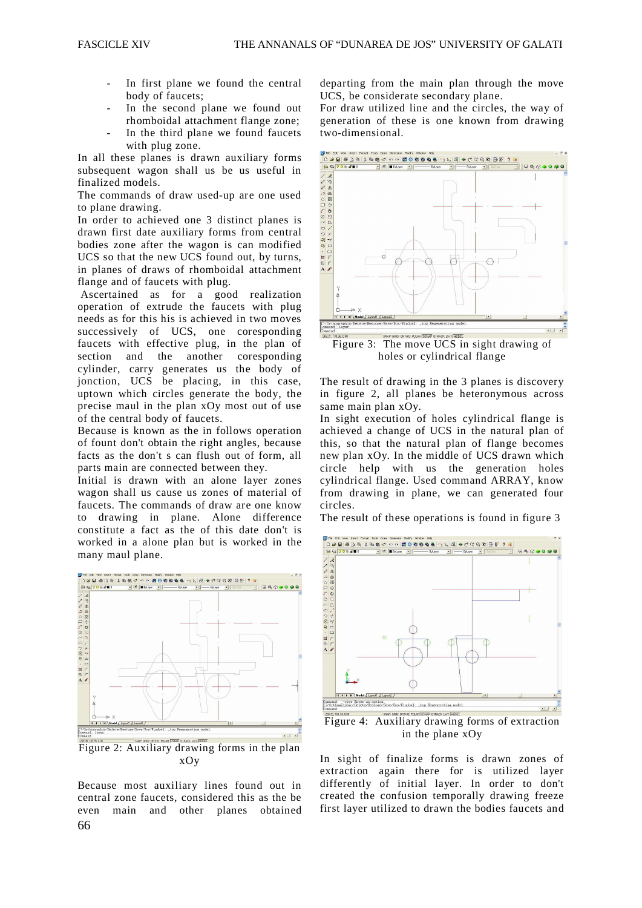- In first plane we found the central body of faucets;
- In the second plane we found out rhomboidal attachment flange zone;
- In the third plane we found faucets with plug zone.

In all these planes is drawn auxiliary forms subsequent wagon shall us be us useful in finalized models.

The commands of draw used-up are one used to plane drawing.

In order to achieved one 3 distinct planes is drawn first date auxiliary forms from central bodies zone after the wagon is can modified UCS so that the new UCS found out, by turns, in planes of draws of rhomboidal attachment flange and of faucets with plug.

 Ascertained as for a good realization operation of extrude the faucets with plug needs as for this his is achieved in two moves successively of UCS, one coresponding faucets with effective plug, in the plan of section and the another coresponding cylinder, carry generates us the body of jonction, UCS be placing, in this case, uptown which circles generate the body, the precise maul in the plan xOy most out of use of the central body of faucets.

Because is known as the in follows operation of fount don't obtain the right angles, because facts as the don't s can flush out of form, all parts main are connected between they.

Initial is drawn with an alone layer zones wagon shall us cause us zones of material of faucets. The commands of draw are one know to drawing in plane. Alone difference constitute a fact as the of this date don't is worked in a alone plan but is worked in the many maul plane.



Figure 2: Auxiliary drawing forms in the plan xOy

66 Because most auxiliary lines found out in central zone faucets, considered this as the be even main and other planes obtained

departing from the main plan through the move UCS, be considerate secondary plane.

For draw utilized line and the circles, the way of generation of these is one known from drawing two-dimensional.



holes or cylindrical flange

The result of drawing in the 3 planes is discovery in figure 2, all planes be heteronymous across same main plan xOy.

In sight execution of holes cylindrical flange is achieved a change of UCS in the natural plan of this, so that the natural plan of flange becomes new plan xOy. In the middle of UCS drawn which circle help with us the generation holes cylindrical flange. Used command ARRAY, know from drawing in plane, we can generated four circles.

The result of these operations is found in figure 3



Figure 4: Auxiliary drawing forms of extraction in the plane xOy

In sight of finalize forms is drawn zones of extraction again there for is utilized layer differently of initial layer. In order to don't created the confusion temporally drawing freeze first layer utilized to drawn the bodies faucets and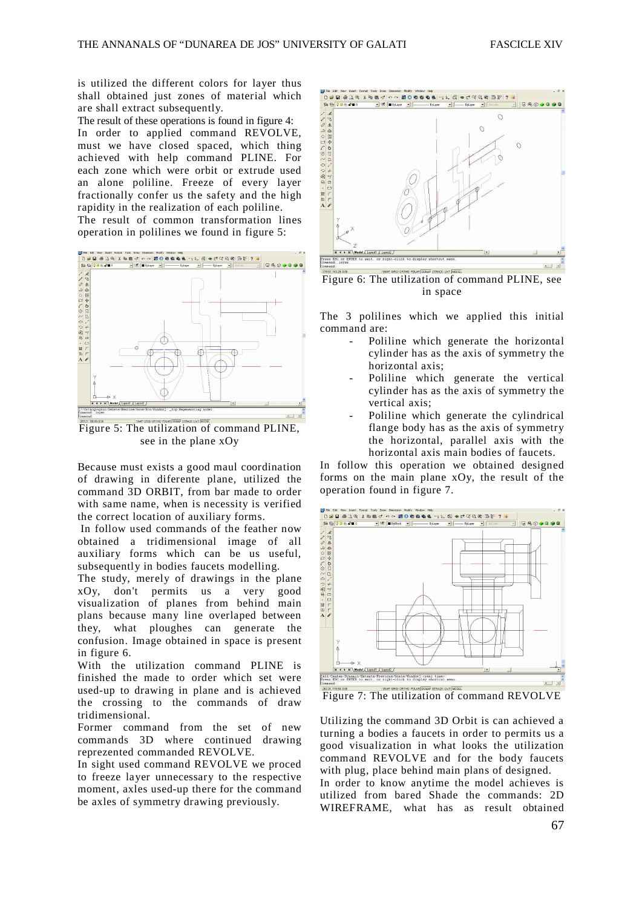is utilized the different colors for layer thus shall obtained just zones of material which are shall extract subsequently.

The result of these operations is found in figure 4: In order to applied command REVOLVE, must we have closed spaced, which thing achieved with help command PLINE. For each zone which were orbit or extrude used an alone poliline. Freeze of every layer fractionally confer us the safety and the high rapidity in the realization of each poliline. The result of common transformation lines

operation in polilines we found in figure 5:



Figure 5: The utilization of command PLINE, see in the plane xOy

Because must exists a good maul coordination of drawing in diferente plane, utilized the command 3D ORBIT, from bar made to order with same name, when is necessity is verified the correct location of auxiliary forms.

 In follow used commands of the feather now obtained a tridimensional image of all auxiliary forms which can be us useful, subsequently in bodies faucets modelling.

The study, merely of drawings in the plane xOy, don't permits us a very good visualization of planes from behind main plans because many line overlaped between they, what ploughes can generate the confusion. Image obtained in space is present in figure 6.

With the utilization command PLINE is finished the made to order which set were used-up to drawing in plane and is achieved the crossing to the commands of draw tridimensional.

Former command from the set of new commands 3D where continued drawing reprezented commanded REVOLVE.

In sight used command REVOLVE we proced to freeze layer unnecessary to the respective moment, axles used-up there for the command be axles of symmetry drawing previously.



Figure 6: The utilization of command PLINE, see in space

The 3 polilines which we applied this initial command are:

- Poliline which generate the horizontal cylinder has as the axis of symmetry the horizontal axis;
- Poliline which generate the vertical cylinder has as the axis of symmetry the vertical axis;
- Poliline which generate the cylindrical flange body has as the axis of symmetry the horizontal, parallel axis with the horizontal axis main bodies of faucets.

In follow this operation we obtained designed forms on the main plane xOy, the result of the operation found in figure 7.



Figure 7: The utilization of command REVOLVE

Utilizing the command 3D Orbit is can achieved a turning a bodies a faucets in order to permits us a good visualization in what looks the utilization command REVOLVE and for the body faucets with plug, place behind main plans of designed.

In order to know anytime the model achieves is utilized from bared Shade the commands: 2D WIREFRAME, what has as result obtained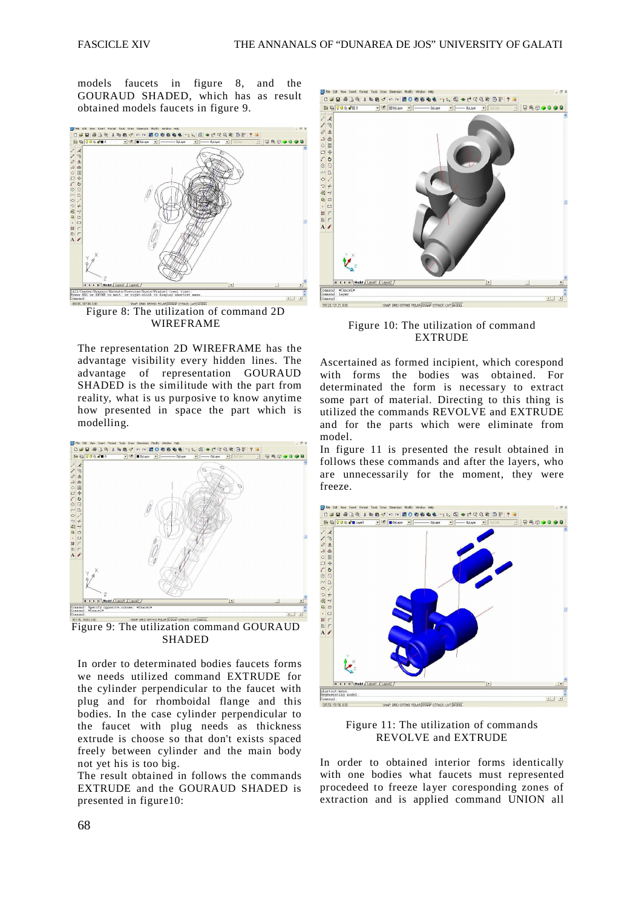models faucets in figure 8, and the GOURAUD SHADED, which has as result obtained models faucets in figure 9.



Figure 8: The utilization of command 2D WIREFRAME

The representation 2D WIREFRAME has the advantage visibility every hidden lines. The advantage of representation GOURAUD SHADED is the similitude with the part from reality, what is us purposive to know anytime how presented in space the part which is modelling.



Figure 9: The utilization command GOURAUD SHADED

In order to determinated bodies faucets forms we needs utilized command EXTRUDE for the cylinder perpendicular to the faucet with plug and for rhomboidal flange and this bodies. In the case cylinder perpendicular to the faucet with plug needs as thickness extrude is choose so that don't exists spaced freely between cylinder and the main body not yet his is too big.

The result obtained in follows the commands EXTRUDE and the GOURAUD SHADED is presented in figure10:



Figure 10: The utilization of command EXTRUDE

Ascertained as formed incipient, which corespond with forms the bodies was obtained. For determinated the form is necessary to extract some part of material. Directing to this thing is utilized the commands REVOLVE and EXTRUDE and for the parts which were eliminate from model.

In figure 11 is presented the result obtained in follows these commands and after the layers, who are unnecessarily for the moment, they were freeze.



Figure 11: The utilization of commands REVOLVE and EXTRUDE

In order to obtained interior forms identically with one bodies what faucets must represented procedeed to freeze layer coresponding zones of extraction and is applied command UNION all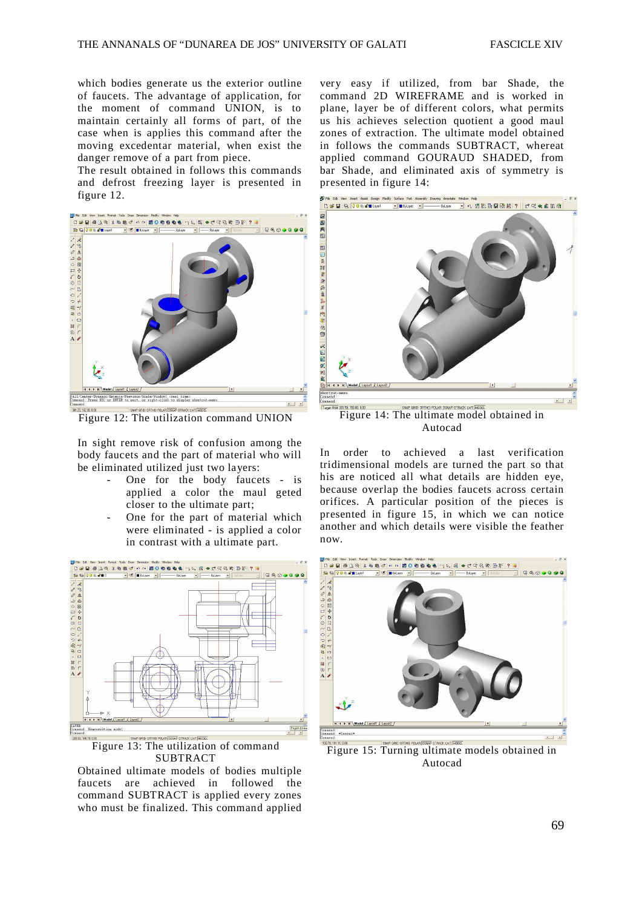which bodies generate us the exterior outline of faucets. The advantage of application, for the moment of command UNION, is to maintain certainly all forms of part, of the case when is applies this command after the moving excedentar material, when exist the danger remove of a part from piece.

The result obtained in follows this commands and defrost freezing layer is presented in figure 12.



Figure 12: The utilization command UNION

In sight remove risk of confusion among the body faucets and the part of material who will be eliminated utilized just two layers:

- One for the body faucets is applied a color the maul geted closer to the ultimate part;
- One for the part of material which were eliminated - is applied a color in contrast with a ultimate part.



Figure 13: The utilization of command SUBTRACT

Obtained ultimate models of bodies multiple faucets are achieved in followed the command SUBTRACT is applied every zones who must be finalized. This command applied

very easy if utilized, from bar Shade, the command 2D WIREFRAME and is worked in plane, layer be of different colors, what permits us his achieves selection quotient a good maul zones of extraction. The ultimate model obtained in follows the commands SUBTRACT, whereat applied command GOURAUD SHADED, from bar Shade, and eliminated axis of symmetry is presented in figure 14:



Figure 14: The ultimate model obtained in Autocad

In order to achieved a last verification tridimensional models are turned the part so that his are noticed all what details are hidden eye, because overlap the bodies faucets across certain orifices. A particular position of the pieces is presented in figure 15, in which we can notice another and which details were visible the feather now.



Figure 15: Turning ultimate models obtained in Autocad